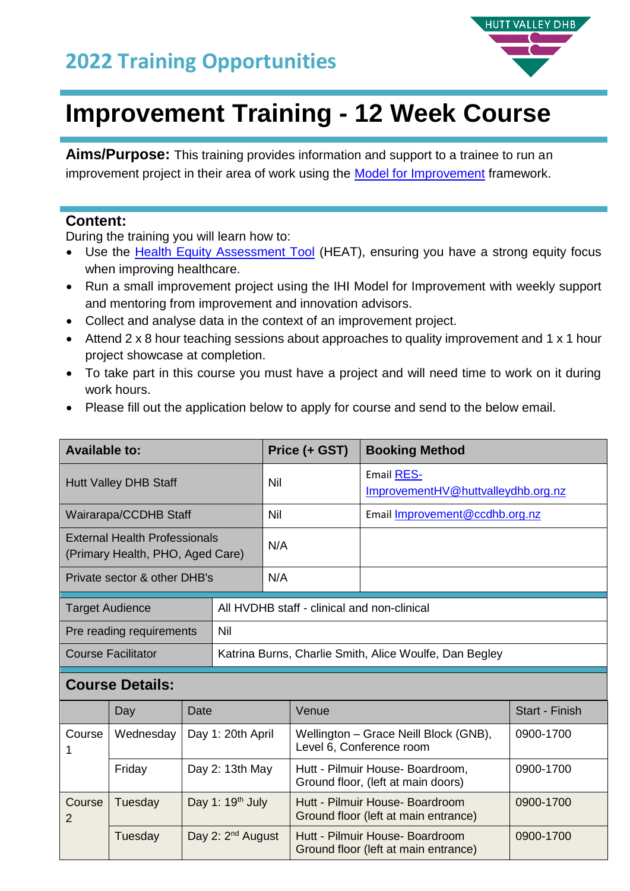

# **Improvement Training - 12 Week Course**

**Aims/Purpose:** This training provides information and support to a trainee to run an improvement project in their area of work using the [Model for Improvement](http://www.ihi.org/resources/Pages/HowtoImprove/default.aspx) framework.

#### **Content:**

During the training you will learn how to:

- Use the [Health Equity Assessment Tool](https://www.health.govt.nz/system/files/documents/publications/health-equity-assessment-tool-guide.pdf) (HEAT), ensuring you have a strong equity focus when improving healthcare.
- Run a small improvement project using the IHI Model for Improvement with weekly support and mentoring from improvement and innovation advisors.
- Collect and analyse data in the context of an improvement project.
- Attend 2 x 8 hour teaching sessions about approaches to quality improvement and 1 x 1 hour project showcase at completion.
- To take part in this course you must have a project and will need time to work on it during work hours.
- Please fill out the application below to apply for course and send to the below email.

| <b>Available to:</b>                                                     |                                                        | Price (+ GST) | <b>Booking Method</b>                                   |
|--------------------------------------------------------------------------|--------------------------------------------------------|---------------|---------------------------------------------------------|
| <b>Hutt Valley DHB Staff</b>                                             |                                                        | Nil           | <b>Email RES-</b><br>ImprovementHV@huttvalleydhb.org.nz |
| Wairarapa/CCDHB Staff                                                    |                                                        | Nil           | Email Improvement@ccdhb.org.nz                          |
| <b>External Health Professionals</b><br>(Primary Health, PHO, Aged Care) |                                                        | N/A           |                                                         |
| Private sector & other DHB's                                             |                                                        | N/A           |                                                         |
| <b>Target Audience</b>                                                   | All HVDHB staff - clinical and non-clinical            |               |                                                         |
| Pre reading requirements                                                 | Nil                                                    |               |                                                         |
| <b>Course Facilitator</b>                                                | Katrina Burns, Charlie Smith, Alice Woulfe, Dan Begley |               |                                                         |

#### **Course Details:**

|                        | Day       | Date                          | Venue                                                                   | Start - Finish |
|------------------------|-----------|-------------------------------|-------------------------------------------------------------------------|----------------|
| Course                 | Wednesday | Day 1: 20th April             | Wellington - Grace Neill Block (GNB),<br>Level 6, Conference room       | 0900-1700      |
|                        | Friday    | Day 2: 13th May               | Hutt - Pilmuir House- Boardroom,<br>Ground floor, (left at main doors)  | 0900-1700      |
| Course<br>Tuesday<br>2 |           | Day 1: 19 <sup>th</sup> July  | Hutt - Pilmuir House- Boardroom<br>Ground floor (left at main entrance) | 0900-1700      |
|                        | Tuesday   | Day 2: 2 <sup>nd</sup> August | Hutt - Pilmuir House- Boardroom<br>Ground floor (left at main entrance) | 0900-1700      |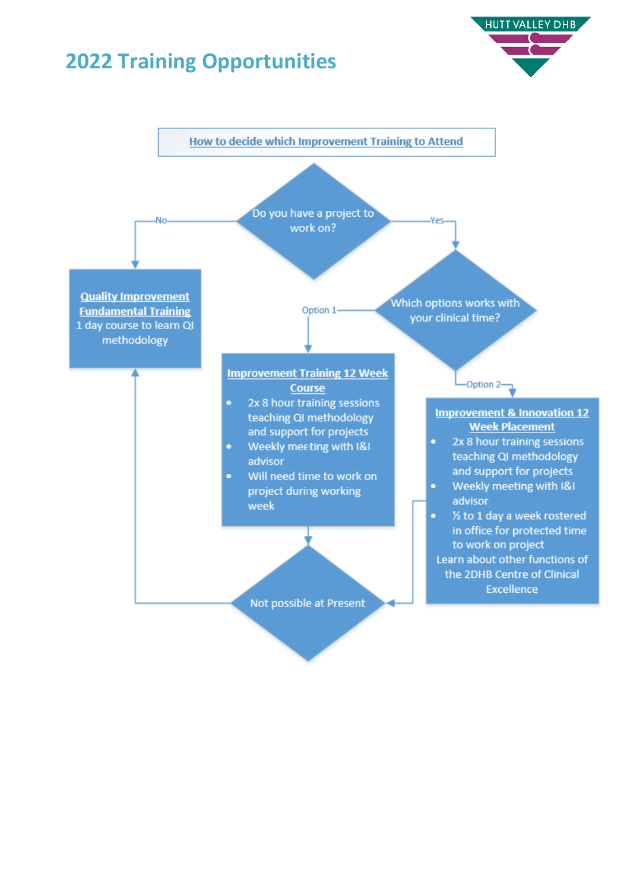### **Training Opportunities**